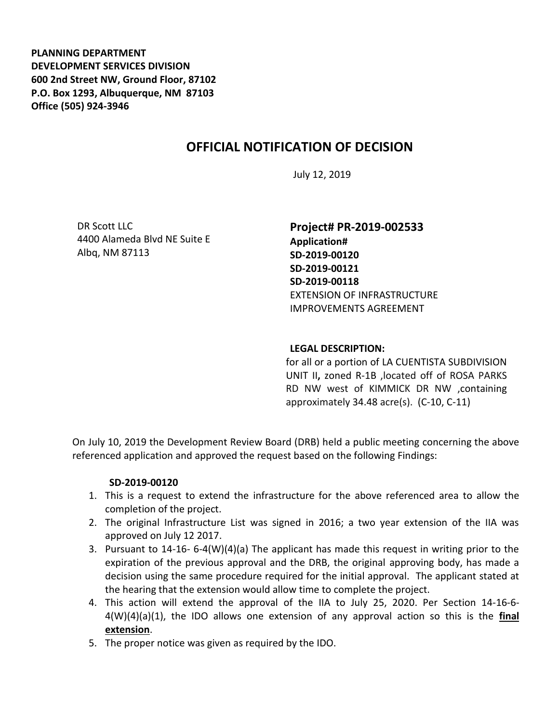**PLANNING DEPARTMENT DEVELOPMENT SERVICES DIVISION 600 2nd Street NW, Ground Floor, 87102 P.O. Box 1293, Albuquerque, NM 87103 Office (505) 924-3946** 

# **OFFICIAL NOTIFICATION OF DECISION**

July 12, 2019

DR Scott LLC 4400 Alameda Blvd NE Suite E Albq, NM 87113

**Project# PR-2019-002533 Application# SD-2019-00120 SD-2019-00121 SD-2019-00118** EXTENSION OF INFRASTRUCTURE IMPROVEMENTS AGREEMENT

#### **LEGAL DESCRIPTION:**

for all or a portion of LA CUENTISTA SUBDIVISION UNIT II**,** zoned R-1B ,located off of ROSA PARKS RD NW west of KIMMICK DR NW ,containing approximately 34.48 acre(s). (C-10, C-11)

On July 10, 2019 the Development Review Board (DRB) held a public meeting concerning the above referenced application and approved the request based on the following Findings:

#### **SD-2019-00120**

- 1. This is a request to extend the infrastructure for the above referenced area to allow the completion of the project.
- 2. The original Infrastructure List was signed in 2016; a two year extension of the IIA was approved on July 12 2017.
- 3. Pursuant to 14-16- 6-4(W)(4)(a) The applicant has made this request in writing prior to the expiration of the previous approval and the DRB, the original approving body, has made a decision using the same procedure required for the initial approval. The applicant stated at the hearing that the extension would allow time to complete the project.
- 4. This action will extend the approval of the IIA to July 25, 2020. Per Section 14-16-6- 4(W)(4)(a)(1), the IDO allows one extension of any approval action so this is the **final extension**.
- 5. The proper notice was given as required by the IDO.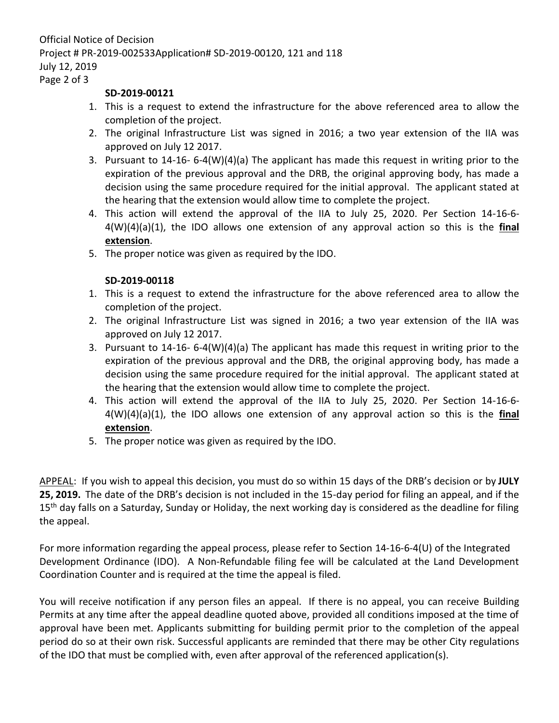## Page 2 of 3

### **SD-2019-00121**

- 1. This is a request to extend the infrastructure for the above referenced area to allow the completion of the project.
- 2. The original Infrastructure List was signed in 2016; a two year extension of the IIA was approved on July 12 2017.
- 3. Pursuant to 14-16- 6-4(W)(4)(a) The applicant has made this request in writing prior to the expiration of the previous approval and the DRB, the original approving body, has made a decision using the same procedure required for the initial approval. The applicant stated at the hearing that the extension would allow time to complete the project.
- 4. This action will extend the approval of the IIA to July 25, 2020. Per Section 14-16-6- 4(W)(4)(a)(1), the IDO allows one extension of any approval action so this is the **final extension**.
- 5. The proper notice was given as required by the IDO.

## **SD-2019-00118**

- 1. This is a request to extend the infrastructure for the above referenced area to allow the completion of the project.
- 2. The original Infrastructure List was signed in 2016; a two year extension of the IIA was approved on July 12 2017.
- 3. Pursuant to 14-16- 6-4(W)(4)(a) The applicant has made this request in writing prior to the expiration of the previous approval and the DRB, the original approving body, has made a decision using the same procedure required for the initial approval. The applicant stated at the hearing that the extension would allow time to complete the project.
- 4. This action will extend the approval of the IIA to July 25, 2020. Per Section 14-16-6- 4(W)(4)(a)(1), the IDO allows one extension of any approval action so this is the **final extension**.
- 5. The proper notice was given as required by the IDO.

APPEAL: If you wish to appeal this decision, you must do so within 15 days of the DRB's decision or by **JULY 25, 2019.** The date of the DRB's decision is not included in the 15-day period for filing an appeal, and if the 15<sup>th</sup> day falls on a Saturday, Sunday or Holiday, the next working day is considered as the deadline for filing the appeal.

For more information regarding the appeal process, please refer to Section 14-16-6-4(U) of the Integrated Development Ordinance (IDO). A Non-Refundable filing fee will be calculated at the Land Development Coordination Counter and is required at the time the appeal is filed.

You will receive notification if any person files an appeal. If there is no appeal, you can receive Building Permits at any time after the appeal deadline quoted above, provided all conditions imposed at the time of approval have been met. Applicants submitting for building permit prior to the completion of the appeal period do so at their own risk. Successful applicants are reminded that there may be other City regulations of the IDO that must be complied with, even after approval of the referenced application(s).